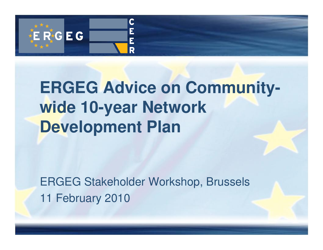

# **ERGEG Advice on Communitywide 10-year Network Development Plan**

ERGEG Stakeholder Workshop, Brussels11 February 2010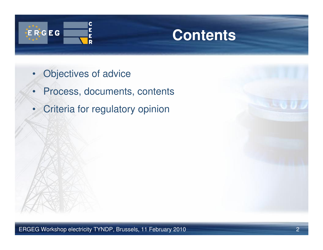

### **Contents**

- •Objectives of advice
- •Process, documents, contents
- •Criteria for regulatory opinion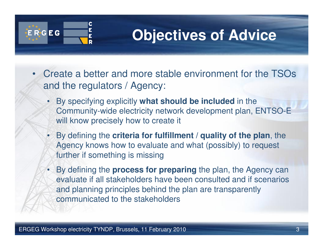

## **Objectives of Advice**

- • Create a better and more stable environment for the TSOs and the regulators / Agency:
	- By specifying explicitly **what should be included** in the Community-wide electricity network development plan, ENTSO-E will know precisely how to create it
	- • By defining the **criteria for fulfillment / quality of the plan**, the Agency knows how to evaluate and what (possibly) to request further if something is missing
	- By defining the **process for preparing** the plan, the Agency can evaluate if all stakeholders have been consulted and if scenarios and planning principles behind the plan are transparently communicated to the stakeholders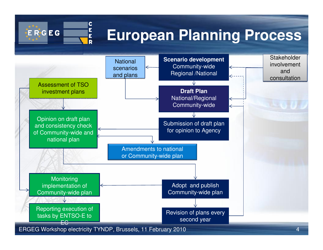

Amendments to national or Community-wide plan

**Monitoring**  implementation of Community-wide planReporting execution of tasks by ENTSO-E to

EC

Adopt and publish Community-wide plan

Revision of plans every second year

ERGEG Workshop electricity TYNDP, Brussels, 11 February 2010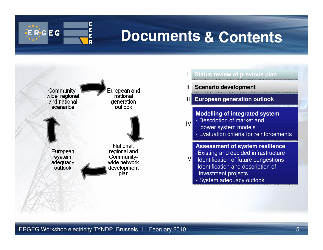

#### **Documents& Contents**



| <b>Status review of previous plan</b>                                                                                                                                                                             |
|-------------------------------------------------------------------------------------------------------------------------------------------------------------------------------------------------------------------|
| <b>Scenario development</b>                                                                                                                                                                                       |
| <b>European generation outlook</b>                                                                                                                                                                                |
| <b>Modelling of integrated system</b><br>- Description of market and<br>power system models<br>- Evaluation criteria for reinforcements                                                                           |
| <b>Assessment of system resilience</b><br>-Existing and decided infrastructure<br>-Identification of future congestions<br>-Identification and description of<br>investment projects<br>- System adequacy outlook |
|                                                                                                                                                                                                                   |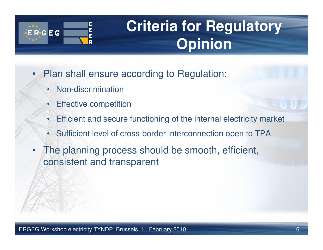

•

## **Criteria for Regulatory Opinion**

- • Plan shall ensure according to Regulation:
	- Non-discrimination
	- •Effective competition
	- •Efficient and secure functioning of the internal electricity market
	- •Sufficient level of cross-border interconnection open to TPA
- The planning process should be smooth, efficient, consistent and transparent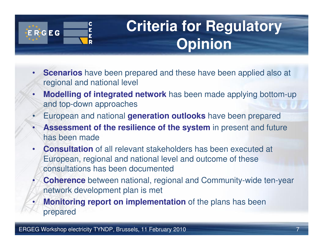

## **Criteria for Regulatory Opinion**

- • **Scenarios** have been prepared and these have been applied also at regional and national level
- • **Modelling of integrated network** has been made applying bottom-up and top-down approaches
- •European and national **generation outlooks** have been prepared
- • **Assessment of the resilience of the system** in present and future has been made
- • **Consultation** of all relevant stakeholders has been executed at European, regional and national level and outcome of these consultations has been documented
- • **Coherence** between national, regional and Community-wide ten-year network development plan is met
- • **Monitoring report on implementation** of the plans has been prepared